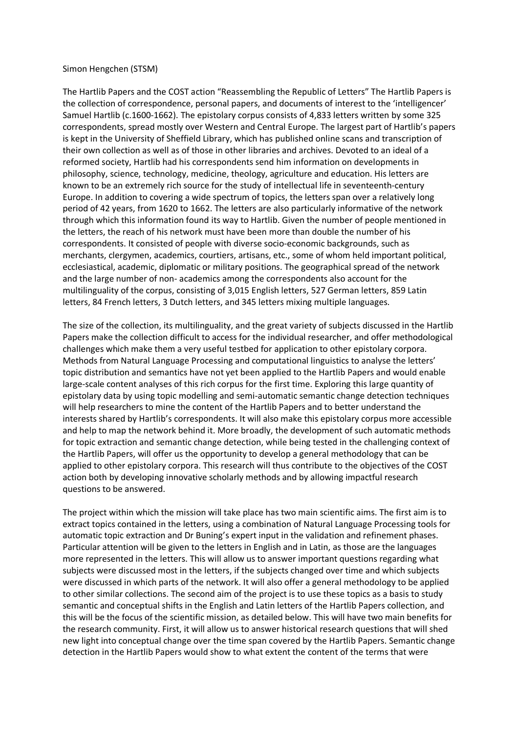## Simon Hengchen (STSM)

The Hartlib Papers and the COST action "Reassembling the Republic of Letters" The Hartlib Papers is the collection of correspondence, personal papers, and documents of interest to the 'intelligencer' Samuel Hartlib (c.1600-1662). The epistolary corpus consists of 4,833 letters written by some 325 correspondents, spread mostly over Western and Central Europe. The largest part of Hartlib's papers is kept in the University of Sheffield Library, which has published online scans and transcription of their own collection as well as of those in other libraries and archives. Devoted to an ideal of a reformed society, Hartlib had his correspondents send him information on developments in philosophy, science, technology, medicine, theology, agriculture and education. His letters are known to be an extremely rich source for the study of intellectual life in seventeenth-century Europe. In addition to covering a wide spectrum of topics, the letters span over a relatively long period of 42 years, from 1620 to 1662. The letters are also particularly informative of the network through which this information found its way to Hartlib. Given the number of people mentioned in the letters, the reach of his network must have been more than double the number of his correspondents. It consisted of people with diverse socio-economic backgrounds, such as merchants, clergymen, academics, courtiers, artisans, etc., some of whom held important political, ecclesiastical, academic, diplomatic or military positions. The geographical spread of the network and the large number of non- academics among the correspondents also account for the multilinguality of the corpus, consisting of 3,015 English letters, 527 German letters, 859 Latin letters, 84 French letters, 3 Dutch letters, and 345 letters mixing multiple languages.

The size of the collection, its multilinguality, and the great variety of subjects discussed in the Hartlib Papers make the collection difficult to access for the individual researcher, and offer methodological challenges which make them a very useful testbed for application to other epistolary corpora. Methods from Natural Language Processing and computational linguistics to analyse the letters' topic distribution and semantics have not yet been applied to the Hartlib Papers and would enable large-scale content analyses of this rich corpus for the first time. Exploring this large quantity of epistolary data by using topic modelling and semi-automatic semantic change detection techniques will help researchers to mine the content of the Hartlib Papers and to better understand the interests shared by Hartlib's correspondents. It will also make this epistolary corpus more accessible and help to map the network behind it. More broadly, the development of such automatic methods for topic extraction and semantic change detection, while being tested in the challenging context of the Hartlib Papers, will offer us the opportunity to develop a general methodology that can be applied to other epistolary corpora. This research will thus contribute to the objectives of the COST action both by developing innovative scholarly methods and by allowing impactful research questions to be answered.

The project within which the mission will take place has two main scientific aims. The first aim is to extract topics contained in the letters, using a combination of Natural Language Processing tools for automatic topic extraction and Dr Buning's expert input in the validation and refinement phases. Particular attention will be given to the letters in English and in Latin, as those are the languages more represented in the letters. This will allow us to answer important questions regarding what subjects were discussed most in the letters, if the subjects changed over time and which subjects were discussed in which parts of the network. It will also offer a general methodology to be applied to other similar collections. The second aim of the project is to use these topics as a basis to study semantic and conceptual shifts in the English and Latin letters of the Hartlib Papers collection, and this will be the focus of the scientific mission, as detailed below. This will have two main benefits for the research community. First, it will allow us to answer historical research questions that will shed new light into conceptual change over the time span covered by the Hartlib Papers. Semantic change detection in the Hartlib Papers would show to what extent the content of the terms that were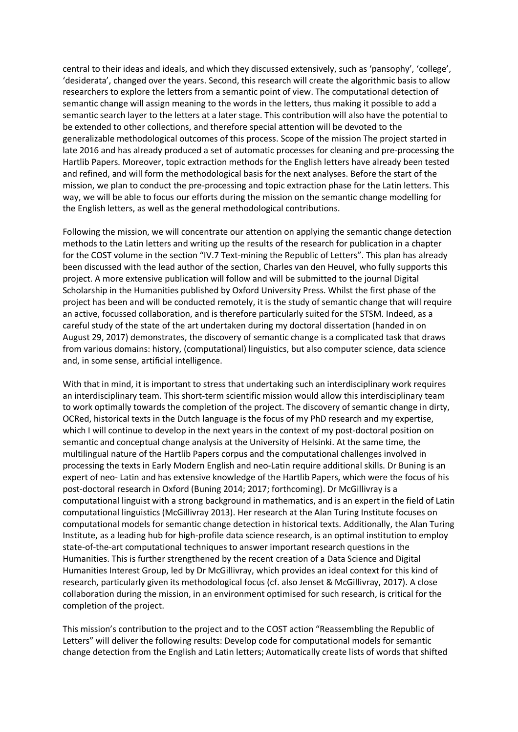central to their ideas and ideals, and which they discussed extensively, such as 'pansophy', 'college', 'desiderata', changed over the years. Second, this research will create the algorithmic basis to allow researchers to explore the letters from a semantic point of view. The computational detection of semantic change will assign meaning to the words in the letters, thus making it possible to add a semantic search layer to the letters at a later stage. This contribution will also have the potential to be extended to other collections, and therefore special attention will be devoted to the generalizable methodological outcomes of this process. Scope of the mission The project started in late 2016 and has already produced a set of automatic processes for cleaning and pre-processing the Hartlib Papers. Moreover, topic extraction methods for the English letters have already been tested and refined, and will form the methodological basis for the next analyses. Before the start of the mission, we plan to conduct the pre-processing and topic extraction phase for the Latin letters. This way, we will be able to focus our efforts during the mission on the semantic change modelling for the English letters, as well as the general methodological contributions.

Following the mission, we will concentrate our attention on applying the semantic change detection methods to the Latin letters and writing up the results of the research for publication in a chapter for the COST volume in the section "IV.7 Text-mining the Republic of Letters". This plan has already been discussed with the lead author of the section, Charles van den Heuvel, who fully supports this project. A more extensive publication will follow and will be submitted to the journal Digital Scholarship in the Humanities published by Oxford University Press. Whilst the first phase of the project has been and will be conducted remotely, it is the study of semantic change that will require an active, focussed collaboration, and is therefore particularly suited for the STSM. Indeed, as a careful study of the state of the art undertaken during my doctoral dissertation (handed in on August 29, 2017) demonstrates, the discovery of semantic change is a complicated task that draws from various domains: history, (computational) linguistics, but also computer science, data science and, in some sense, artificial intelligence.

With that in mind, it is important to stress that undertaking such an interdisciplinary work requires an interdisciplinary team. This short-term scientific mission would allow this interdisciplinary team to work optimally towards the completion of the project. The discovery of semantic change in dirty, OCRed, historical texts in the Dutch language is the focus of my PhD research and my expertise, which I will continue to develop in the next years in the context of my post-doctoral position on semantic and conceptual change analysis at the University of Helsinki. At the same time, the multilingual nature of the Hartlib Papers corpus and the computational challenges involved in processing the texts in Early Modern English and neo-Latin require additional skills. Dr Buning is an expert of neo- Latin and has extensive knowledge of the Hartlib Papers, which were the focus of his post-doctoral research in Oxford (Buning 2014; 2017; forthcoming). Dr McGillivray is a computational linguist with a strong background in mathematics, and is an expert in the field of Latin computational linguistics (McGillivray 2013). Her research at the Alan Turing Institute focuses on computational models for semantic change detection in historical texts. Additionally, the Alan Turing Institute, as a leading hub for high-profile data science research, is an optimal institution to employ state-of-the-art computational techniques to answer important research questions in the Humanities. This is further strengthened by the recent creation of a Data Science and Digital Humanities Interest Group, led by Dr McGillivray, which provides an ideal context for this kind of research, particularly given its methodological focus (cf. also Jenset & McGillivray, 2017). A close collaboration during the mission, in an environment optimised for such research, is critical for the completion of the project.

This mission's contribution to the project and to the COST action "Reassembling the Republic of Letters" will deliver the following results: Develop code for computational models for semantic change detection from the English and Latin letters; Automatically create lists of words that shifted